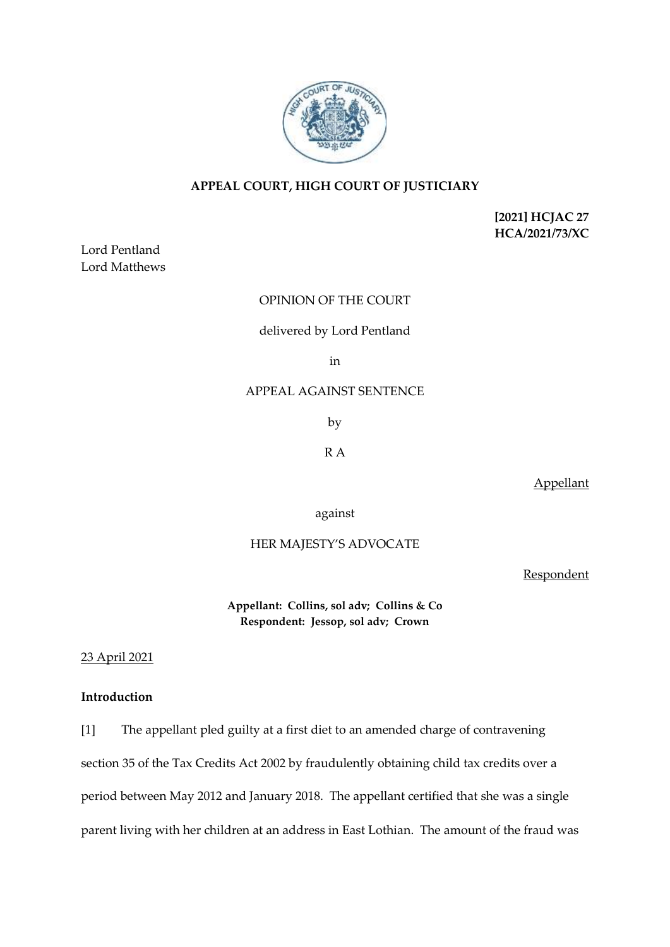

# **APPEAL COURT, HIGH COURT OF JUSTICIARY**

**[2021] HCJAC 27 HCA/2021/73/XC**

Lord Pentland Lord Matthews

## OPINION OF THE COURT

delivered by Lord Pentland

in

## APPEAL AGAINST SENTENCE

by

R A

Appellant

against

## HER MAJESTY'S ADVOCATE

**Respondent** 

**Appellant: Collins, sol adv; Collins & Co Respondent: Jessop, sol adv; Crown**

23 April 2021

# **Introduction**

[1] The appellant pled guilty at a first diet to an amended charge of contravening section 35 of the Tax Credits Act 2002 by fraudulently obtaining child tax credits over a period between May 2012 and January 2018. The appellant certified that she was a single parent living with her children at an address in East Lothian. The amount of the fraud was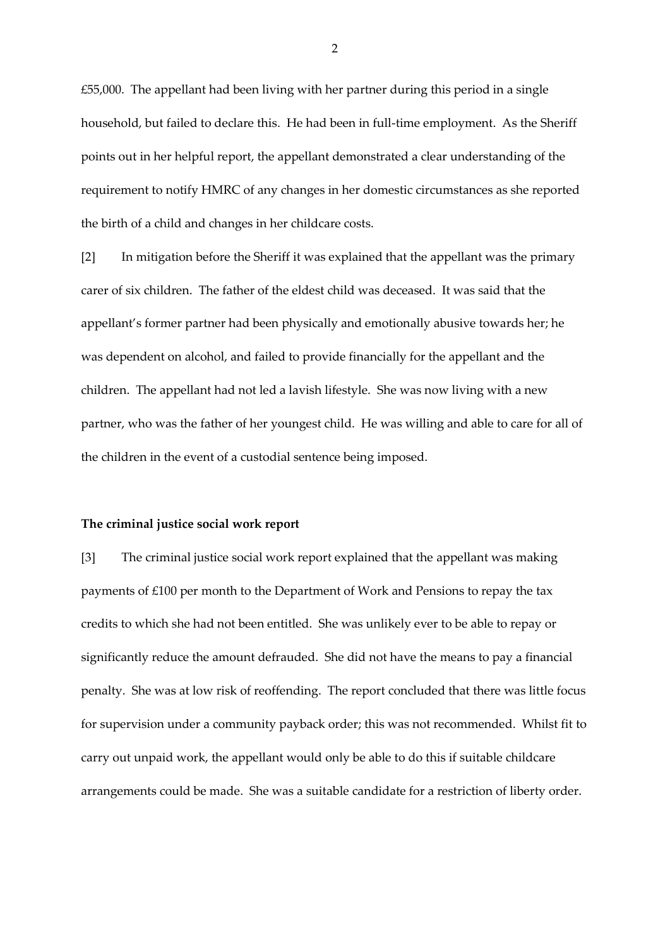£55,000. The appellant had been living with her partner during this period in a single household, but failed to declare this. He had been in full-time employment. As the Sheriff points out in her helpful report, the appellant demonstrated a clear understanding of the requirement to notify HMRC of any changes in her domestic circumstances as she reported the birth of a child and changes in her childcare costs.

[2] In mitigation before the Sheriff it was explained that the appellant was the primary carer of six children. The father of the eldest child was deceased. It was said that the appellant's former partner had been physically and emotionally abusive towards her; he was dependent on alcohol, and failed to provide financially for the appellant and the children. The appellant had not led a lavish lifestyle. She was now living with a new partner, who was the father of her youngest child. He was willing and able to care for all of the children in the event of a custodial sentence being imposed.

#### **The criminal justice social work report**

[3] The criminal justice social work report explained that the appellant was making payments of £100 per month to the Department of Work and Pensions to repay the tax credits to which she had not been entitled. She was unlikely ever to be able to repay or significantly reduce the amount defrauded. She did not have the means to pay a financial penalty. She was at low risk of reoffending. The report concluded that there was little focus for supervision under a community payback order; this was not recommended. Whilst fit to carry out unpaid work, the appellant would only be able to do this if suitable childcare arrangements could be made. She was a suitable candidate for a restriction of liberty order.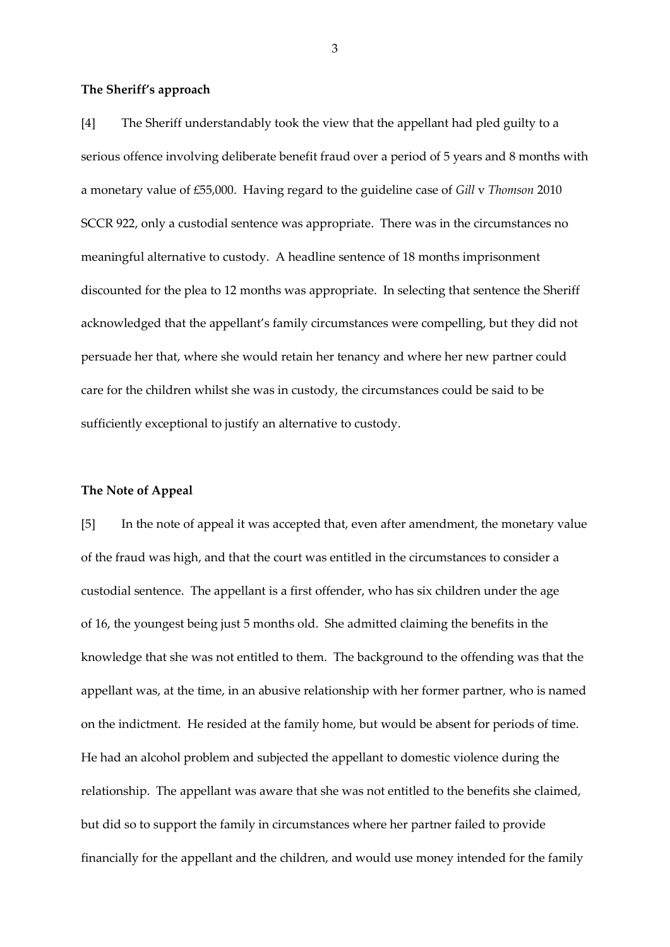## **The Sheriff's approach**

[4] The Sheriff understandably took the view that the appellant had pled guilty to a serious offence involving deliberate benefit fraud over a period of 5 years and 8 months with a monetary value of £55,000. Having regard to the guideline case of *Gill* v *Thomson* 2010 SCCR 922, only a custodial sentence was appropriate. There was in the circumstances no meaningful alternative to custody. A headline sentence of 18 months imprisonment discounted for the plea to 12 months was appropriate. In selecting that sentence the Sheriff acknowledged that the appellant's family circumstances were compelling, but they did not persuade her that, where she would retain her tenancy and where her new partner could care for the children whilst she was in custody, the circumstances could be said to be sufficiently exceptional to justify an alternative to custody.

### **The Note of Appeal**

[5] In the note of appeal it was accepted that, even after amendment, the monetary value of the fraud was high, and that the court was entitled in the circumstances to consider a custodial sentence. The appellant is a first offender, who has six children under the age of 16, the youngest being just 5 months old. She admitted claiming the benefits in the knowledge that she was not entitled to them. The background to the offending was that the appellant was, at the time, in an abusive relationship with her former partner, who is named on the indictment. He resided at the family home, but would be absent for periods of time. He had an alcohol problem and subjected the appellant to domestic violence during the relationship. The appellant was aware that she was not entitled to the benefits she claimed, but did so to support the family in circumstances where her partner failed to provide financially for the appellant and the children, and would use money intended for the family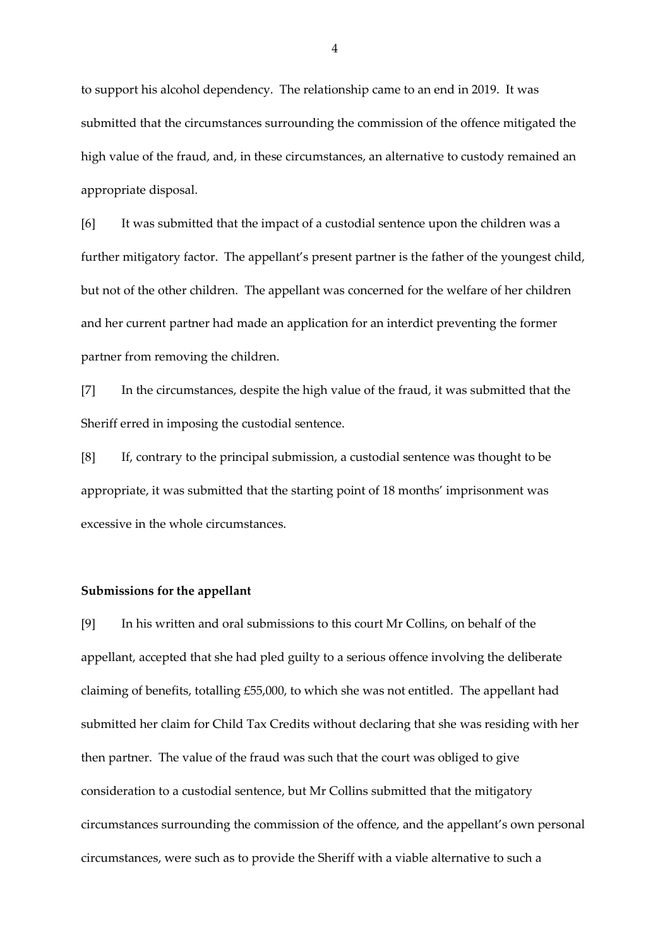to support his alcohol dependency. The relationship came to an end in 2019. It was submitted that the circumstances surrounding the commission of the offence mitigated the high value of the fraud, and, in these circumstances, an alternative to custody remained an appropriate disposal.

[6] It was submitted that the impact of a custodial sentence upon the children was a further mitigatory factor. The appellant's present partner is the father of the youngest child, but not of the other children. The appellant was concerned for the welfare of her children and her current partner had made an application for an interdict preventing the former partner from removing the children.

[7] In the circumstances, despite the high value of the fraud, it was submitted that the Sheriff erred in imposing the custodial sentence.

[8] If, contrary to the principal submission, a custodial sentence was thought to be appropriate, it was submitted that the starting point of 18 months' imprisonment was excessive in the whole circumstances.

### **Submissions for the appellant**

[9] In his written and oral submissions to this court Mr Collins, on behalf of the appellant, accepted that she had pled guilty to a serious offence involving the deliberate claiming of benefits, totalling £55,000, to which she was not entitled. The appellant had submitted her claim for Child Tax Credits without declaring that she was residing with her then partner. The value of the fraud was such that the court was obliged to give consideration to a custodial sentence, but Mr Collins submitted that the mitigatory circumstances surrounding the commission of the offence, and the appellant's own personal circumstances, were such as to provide the Sheriff with a viable alternative to such a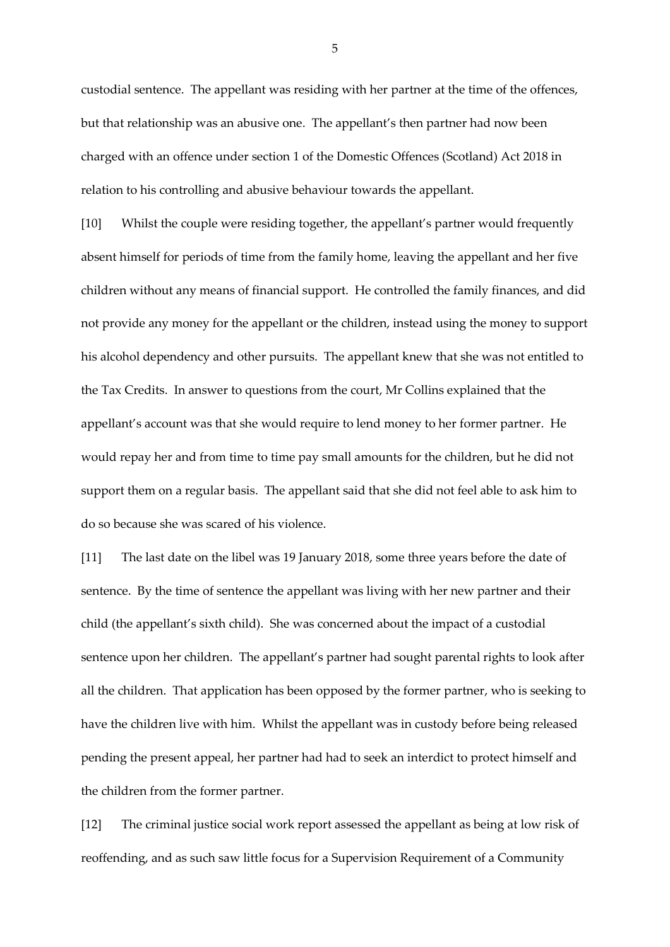custodial sentence. The appellant was residing with her partner at the time of the offences, but that relationship was an abusive one. The appellant's then partner had now been charged with an offence under section 1 of the Domestic Offences (Scotland) Act 2018 in relation to his controlling and abusive behaviour towards the appellant.

[10] Whilst the couple were residing together, the appellant's partner would frequently absent himself for periods of time from the family home, leaving the appellant and her five children without any means of financial support. He controlled the family finances, and did not provide any money for the appellant or the children, instead using the money to support his alcohol dependency and other pursuits. The appellant knew that she was not entitled to the Tax Credits. In answer to questions from the court, Mr Collins explained that the appellant's account was that she would require to lend money to her former partner. He would repay her and from time to time pay small amounts for the children, but he did not support them on a regular basis. The appellant said that she did not feel able to ask him to do so because she was scared of his violence.

[11] The last date on the libel was 19 January 2018, some three years before the date of sentence. By the time of sentence the appellant was living with her new partner and their child (the appellant's sixth child). She was concerned about the impact of a custodial sentence upon her children. The appellant's partner had sought parental rights to look after all the children. That application has been opposed by the former partner, who is seeking to have the children live with him. Whilst the appellant was in custody before being released pending the present appeal, her partner had had to seek an interdict to protect himself and the children from the former partner.

[12] The criminal justice social work report assessed the appellant as being at low risk of reoffending, and as such saw little focus for a Supervision Requirement of a Community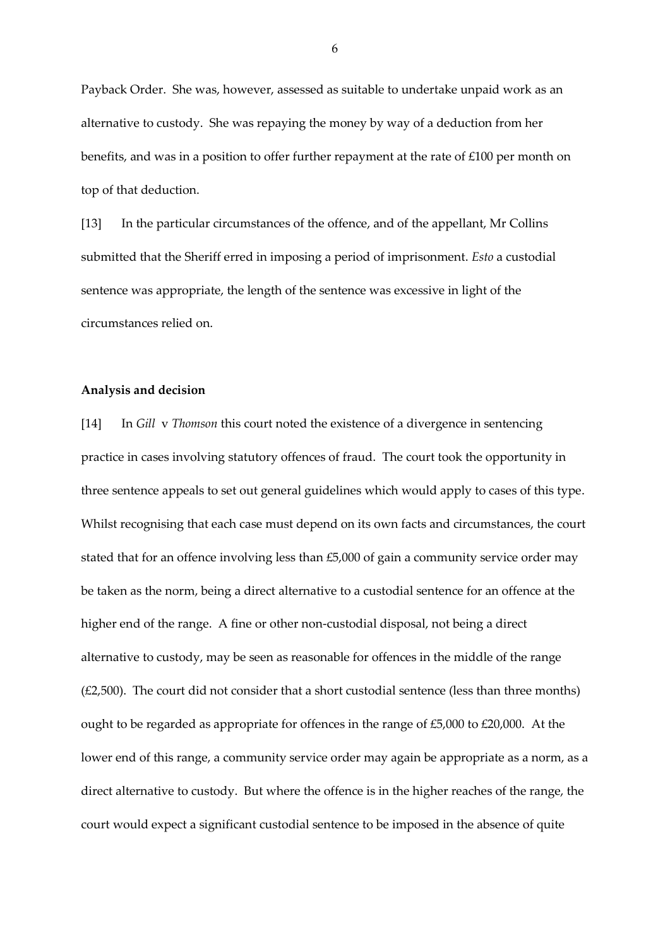Payback Order. She was, however, assessed as suitable to undertake unpaid work as an alternative to custody. She was repaying the money by way of a deduction from her benefits, and was in a position to offer further repayment at the rate of £100 per month on top of that deduction.

[13] In the particular circumstances of the offence, and of the appellant, Mr Collins submitted that the Sheriff erred in imposing a period of imprisonment. *Esto* a custodial sentence was appropriate, the length of the sentence was excessive in light of the circumstances relied on.

### **Analysis and decision**

[14] In *Gill* v *Thomson* this court noted the existence of a divergence in sentencing practice in cases involving statutory offences of fraud. The court took the opportunity in three sentence appeals to set out general guidelines which would apply to cases of this type. Whilst recognising that each case must depend on its own facts and circumstances, the court stated that for an offence involving less than £5,000 of gain a community service order may be taken as the norm, being a direct alternative to a custodial sentence for an offence at the higher end of the range. A fine or other non-custodial disposal, not being a direct alternative to custody, may be seen as reasonable for offences in the middle of the range  $(E2,500)$ . The court did not consider that a short custodial sentence (less than three months) ought to be regarded as appropriate for offences in the range of £5,000 to £20,000. At the lower end of this range, a community service order may again be appropriate as a norm, as a direct alternative to custody. But where the offence is in the higher reaches of the range, the court would expect a significant custodial sentence to be imposed in the absence of quite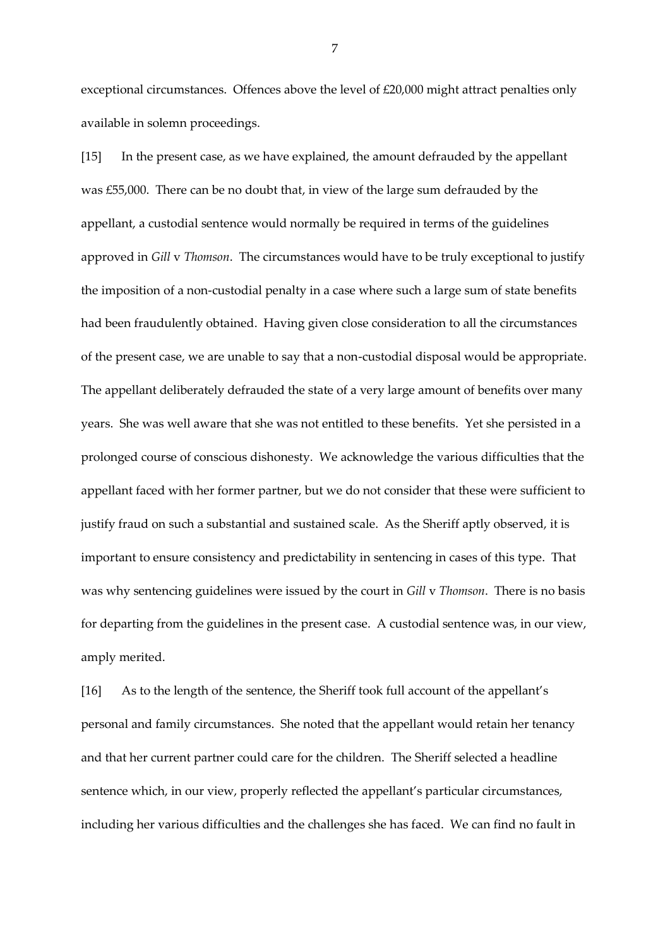exceptional circumstances. Offences above the level of £20,000 might attract penalties only available in solemn proceedings.

[15] In the present case, as we have explained, the amount defrauded by the appellant was £55,000. There can be no doubt that, in view of the large sum defrauded by the appellant, a custodial sentence would normally be required in terms of the guidelines approved in *Gill* v *Thomson*. The circumstances would have to be truly exceptional to justify the imposition of a non-custodial penalty in a case where such a large sum of state benefits had been fraudulently obtained. Having given close consideration to all the circumstances of the present case, we are unable to say that a non-custodial disposal would be appropriate. The appellant deliberately defrauded the state of a very large amount of benefits over many years. She was well aware that she was not entitled to these benefits. Yet she persisted in a prolonged course of conscious dishonesty. We acknowledge the various difficulties that the appellant faced with her former partner, but we do not consider that these were sufficient to justify fraud on such a substantial and sustained scale. As the Sheriff aptly observed, it is important to ensure consistency and predictability in sentencing in cases of this type. That was why sentencing guidelines were issued by the court in *Gill* v *Thomson*. There is no basis for departing from the guidelines in the present case. A custodial sentence was, in our view, amply merited.

[16] As to the length of the sentence, the Sheriff took full account of the appellant's personal and family circumstances. She noted that the appellant would retain her tenancy and that her current partner could care for the children. The Sheriff selected a headline sentence which, in our view, properly reflected the appellant's particular circumstances, including her various difficulties and the challenges she has faced. We can find no fault in